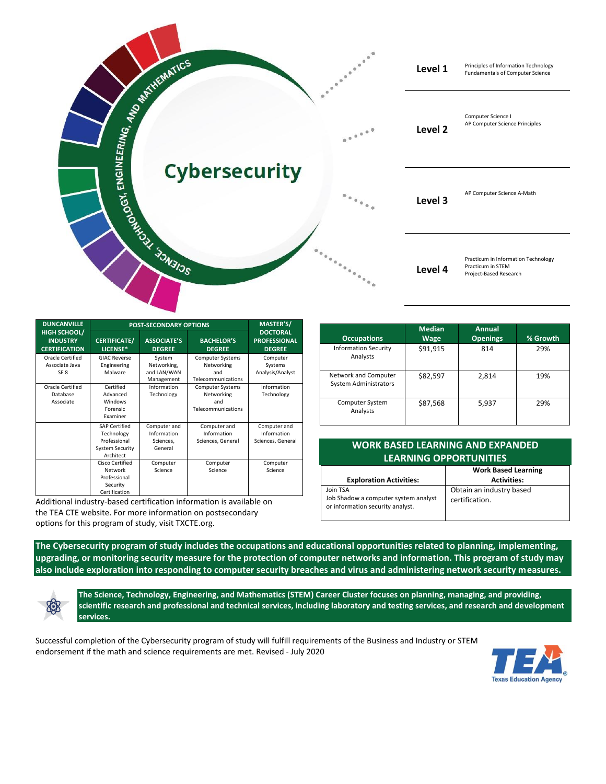

| <b>DUNCANVILLE</b>                                             | <b>POST-SECONDARY OPTIONS</b>                                                             |                                                     |                                                                    | MASTER'S/                                               |
|----------------------------------------------------------------|-------------------------------------------------------------------------------------------|-----------------------------------------------------|--------------------------------------------------------------------|---------------------------------------------------------|
| <b>HIGH SCHOOL/</b><br><b>INDUSTRY</b><br><b>CERTIFICATION</b> | <b>CERTIFICATE/</b><br>LICENSE*                                                           | <b>ASSOCIATE'S</b><br><b>DEGREE</b>                 | <b>BACHELOR'S</b><br><b>DEGREE</b>                                 | <b>DOCTORAL</b><br><b>PROFESSIONAL</b><br><b>DEGREE</b> |
| Oracle Certified<br>Associate Java<br>SE <sub>8</sub>          | <b>GIAC Reverse</b><br>Engineering<br>Malware                                             | System<br>Networking,<br>and LAN/WAN<br>Management  | <b>Computer Systems</b><br>Networking<br>and<br>Telecommunications | Computer<br>Systems<br>Analysis/Analyst                 |
| Oracle Certified<br>Database<br>Associate                      | Certified<br>Advanced<br>Windows<br><b>Forensic</b><br>Examiner                           | Information<br>Technology                           | <b>Computer Systems</b><br>Networking<br>and<br>Telecommunications | Information<br>Technology                               |
|                                                                | <b>SAP Certified</b><br>Technology<br>Professional<br><b>System Security</b><br>Architect | Computer and<br>Information<br>Sciences,<br>General | Computer and<br>Information<br>Sciences, General                   | Computer and<br>Information<br>Sciences, General        |
|                                                                | Cisco Certified<br>Network<br>Professional<br>Security<br>Certification                   | Computer<br>Science                                 | Computer<br>Science                                                | Computer<br>Science                                     |

Additional industry-based certification information is available on the TEA CTE website. For more information on postsecondary options for this program of study, visit TXCTE.org.

| <b>Occupations</b>                                   | <b>Median</b><br><b>Wage</b> | Annual<br><b>Openings</b> | % Growth |
|------------------------------------------------------|------------------------------|---------------------------|----------|
| <b>Information Security</b><br>Analysts              | \$91,915                     | 814                       | 29%      |
| Network and Computer<br><b>System Administrators</b> | \$82.597                     | 2,814                     | 19%      |
| <b>Computer System</b><br>Analysts                   | \$87,568                     | 5,937                     | 29%      |

## **WORK BASED LEARNING AND EXPANDED LEARNING OPPORTUNITIES**

| <b>Exploration Activities:</b>                                                       | <b>Work Based Learning</b><br><b>Activities:</b> |
|--------------------------------------------------------------------------------------|--------------------------------------------------|
| Join TSA<br>Job Shadow a computer system analyst<br>or information security analyst. | Obtain an industry based<br>certification.       |

**The Cybersecurity program of study includes the occupations and educational opportunities related to planning, implementing, upgrading, or monitoring security measure for the protection of computer networks and information. This program of study may also include exploration into responding to computer security breaches and virus and administering network security measures.**

**The Science, Technology, Engineering, and Mathematics (STEM) Career Cluster focuses on planning, managing, and providing, scientific research and professional and technical services, including laboratory and testing services, and research and development services.**

Successful completion of the Cybersecurity program of study will fulfill requirements of the Business and Industry or STEM endorsement if the math and science requirements are met. Revised - July 2020

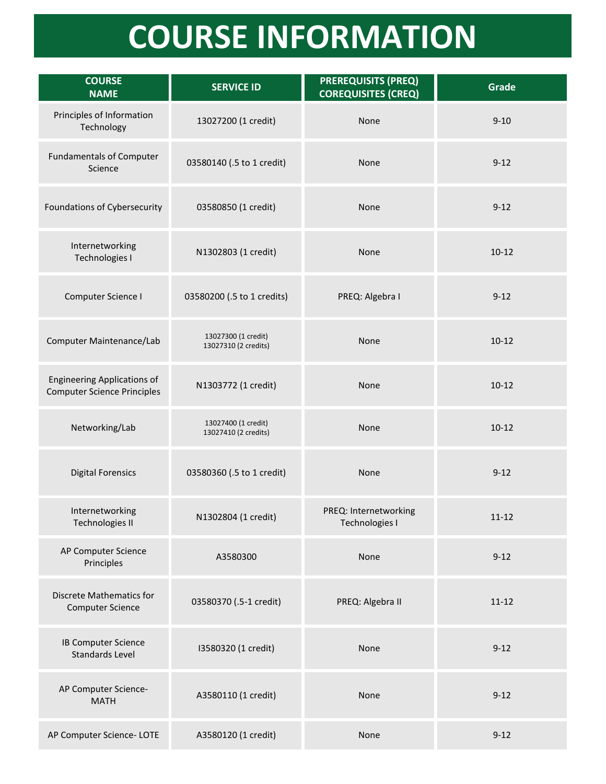## **COURSE INFORMATION**

| <b>COURSE</b><br><b>NAME</b>                                             | <b>SERVICE ID</b>                           | <b>PREREQUISITS (PREQ)</b><br><b>COREQUISITES (CREQ)</b> | Grade     |
|--------------------------------------------------------------------------|---------------------------------------------|----------------------------------------------------------|-----------|
| Principles of Information<br>Technology                                  | 13027200 (1 credit)                         | None                                                     | $9 - 10$  |
| <b>Fundamentals of Computer</b><br>Science                               | 03580140 (.5 to 1 credit)                   | None                                                     | $9 - 12$  |
| Foundations of Cybersecurity                                             | 03580850 (1 credit)                         | None                                                     | $9 - 12$  |
| Internetworking<br>Technologies I                                        | N1302803 (1 credit)                         | None                                                     | $10 - 12$ |
| Computer Science I                                                       | 03580200 (.5 to 1 credits)                  | PREQ: Algebra I                                          | $9 - 12$  |
| Computer Maintenance/Lab                                                 | 13027300 (1 credit)<br>13027310 (2 credits) | None                                                     | $10 - 12$ |
| <b>Engineering Applications of</b><br><b>Computer Science Principles</b> | N1303772 (1 credit)                         | None                                                     | $10-12$   |
| Networking/Lab                                                           | 13027400 (1 credit)<br>13027410 (2 credits) | None                                                     | $10 - 12$ |
| <b>Digital Forensics</b>                                                 | 03580360 (.5 to 1 credit)                   | None                                                     | $9 - 12$  |
| Internetworking<br><b>Technologies II</b>                                | N1302804 (1 credit)                         | PREQ: Internetworking<br>Technologies I                  | $11 - 12$ |
| AP Computer Science<br>Principles                                        | A3580300                                    | None                                                     | $9 - 12$  |
| <b>Discrete Mathematics for</b><br><b>Computer Science</b>               | 03580370 (.5-1 credit)                      | PREQ: Algebra II                                         | $11 - 12$ |
| IB Computer Science<br><b>Standards Level</b>                            | I3580320 (1 credit)                         | None                                                     | $9 - 12$  |
| AP Computer Science-<br><b>MATH</b>                                      | A3580110 (1 credit)                         | None                                                     | $9 - 12$  |
| AP Computer Science-LOTE                                                 | A3580120 (1 credit)                         | None                                                     | $9 - 12$  |